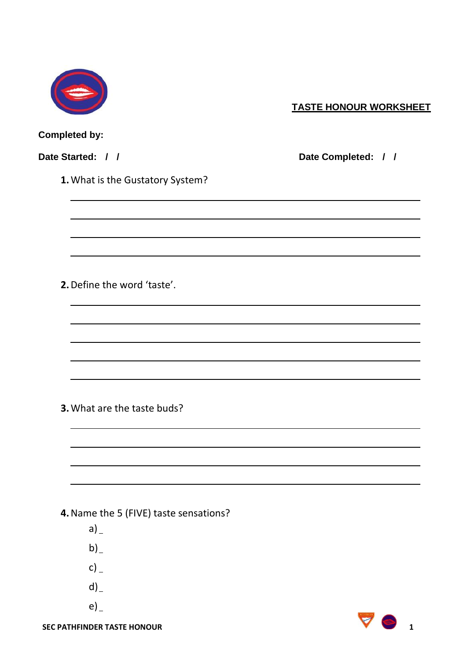

## **TASTE HONOUR WORKSHEET**

## **Completed by:**

**Date Started: / / Date Completed: / /**

**1.**What is the Gustatory System?

**2.**Define the word 'taste'.

**3.**What are the taste buds?

**4.**Name the 5 (FIVE) taste sensations?

- $a)$
- $b)$
- $c)$
- $d)$
- e)

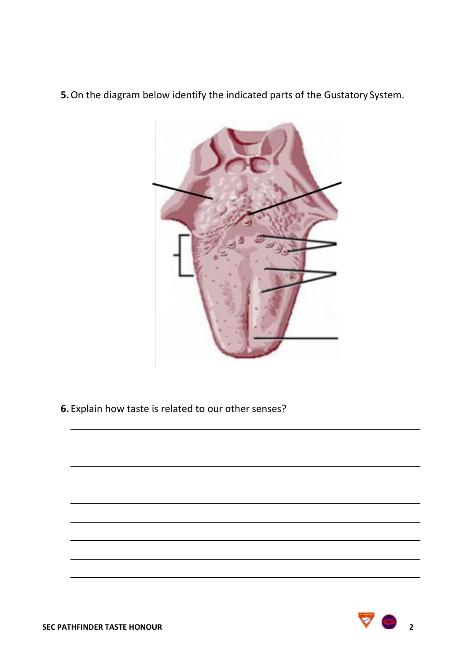**5.**On the diagram below identify the indicated parts of the Gustatory System.



**6.** Explain how taste is related to our other senses?

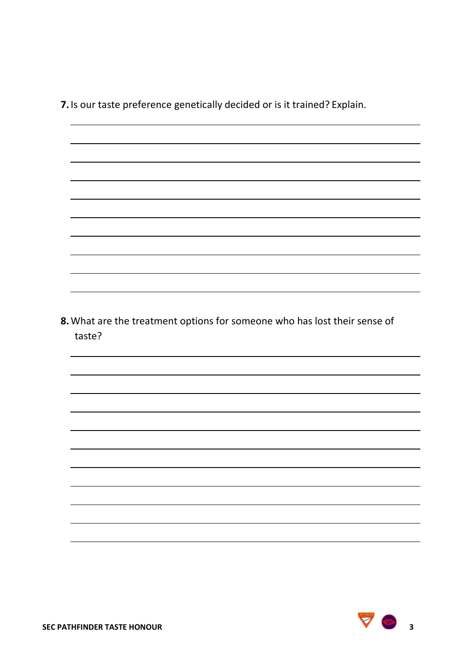**7.**Is our taste preference genetically decided or is it trained? Explain.

**8.**What are the treatment options for someone who has lost their sense of taste?

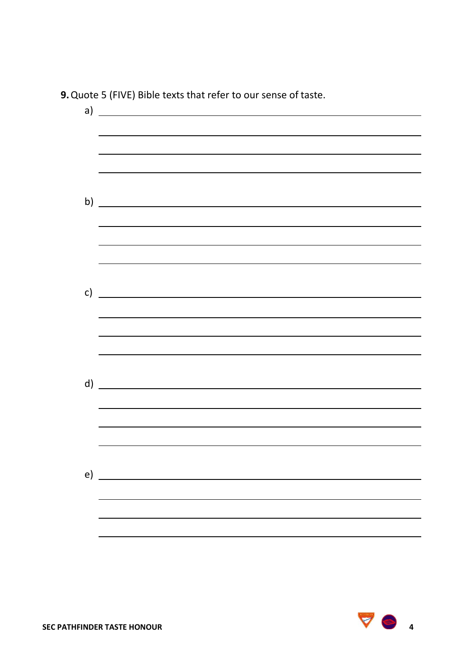a) b) <u> 1989 - Johann Stein, marwolaethau a bhann an t-Amhair an t-Amhair an t-Amhair an t-Amhair an t-Amhair an t-A</u> c)  $\overline{\phantom{a}}$ d) e)

**9.**Quote 5 (FIVE) Bible texts that refer to our sense of taste.

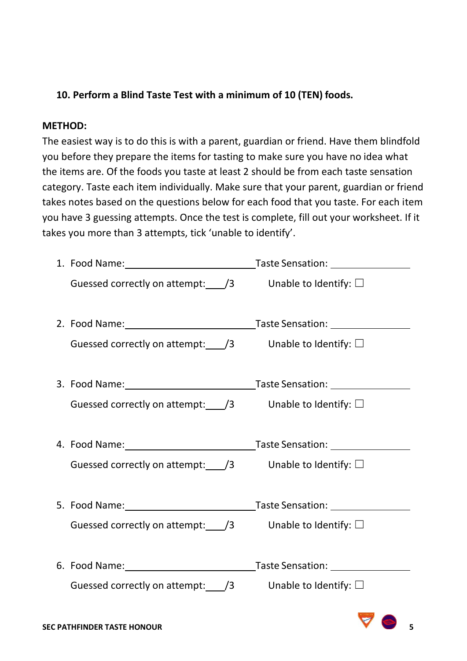## **10. Perform a Blind Taste Test with a minimum of 10 (TEN) foods.**

## **METHOD:**

The easiest way is to do this is with a parent, guardian or friend. Have them blindfold you before they prepare the items for tasting to make sure you have no idea what the items are. Of the foods you taste at least 2 should be from each taste sensation category. Taste each item individually. Make sure that your parent, guardian or friend takes notes based on the questions below for each food that you taste. For each item you have 3 guessing attempts. Once the test is complete, fill out your worksheet. If it takes you more than 3 attempts, tick 'unable to identify'.

|                                                                        | Taste Sensation: __________________ |
|------------------------------------------------------------------------|-------------------------------------|
| Guessed correctly on attempt: $\frac{1}{3}$ Unable to Identify: $\Box$ |                                     |
| Guessed correctly on attempt: /3                                       | Unable to Identify: $\square$       |
|                                                                        |                                     |
| Guessed correctly on attempt: $\angle$ /3 Unable to Identify: $\Box$   |                                     |
|                                                                        |                                     |
| Guessed correctly on attempt: /3                                       | Unable to Identify: $\Box$          |
|                                                                        |                                     |
| Guessed correctly on attempt: $\frac{1}{3}$ Unable to Identify: $\Box$ |                                     |
|                                                                        |                                     |
| Guessed correctly on attempt: /3                                       | Unable to Identify: $\square$       |
|                                                                        |                                     |